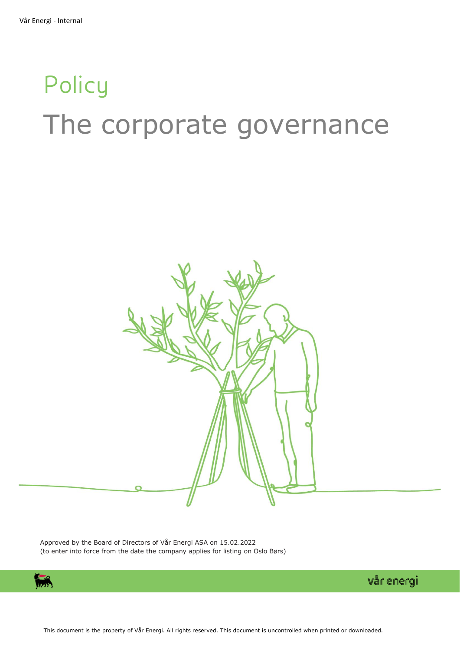# **Policy** The corporate governance



Approved by the Board of Directors of Vår Energi ASA on 15.02.2022 (to enter into force from the date the company applies for listing on Oslo Børs)

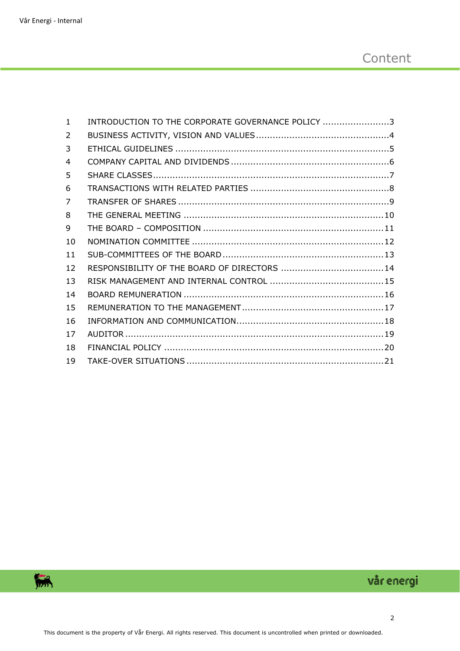| $\mathbf{1}$   | INTRODUCTION TO THE CORPORATE GOVERNANCE POLICY 3 |  |
|----------------|---------------------------------------------------|--|
| 2              |                                                   |  |
| 3              |                                                   |  |
| $\overline{4}$ |                                                   |  |
| 5              |                                                   |  |
| 6              |                                                   |  |
| 7              |                                                   |  |
| 8              |                                                   |  |
| 9              |                                                   |  |
| 10             |                                                   |  |
| 11             |                                                   |  |
| 12             |                                                   |  |
| 13             |                                                   |  |
| 14             |                                                   |  |
| 15             |                                                   |  |
| 16             |                                                   |  |
| 17             |                                                   |  |
| 18             |                                                   |  |
| 19             |                                                   |  |

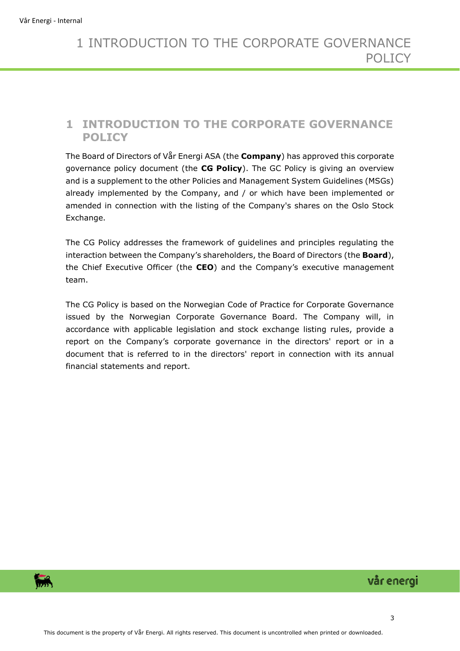## <span id="page-2-0"></span>**1 INTRODUCTION TO THE CORPORATE GOVERNANCE POLICY**

The Board of Directors of Vår Energi ASA (the **Company**) has approved this corporate governance policy document (the **CG Policy**). The GC Policy is giving an overview and is a supplement to the other Policies and Management System Guidelines (MSGs) already implemented by the Company, and / or which have been implemented or amended in connection with the listing of the Company's shares on the Oslo Stock Exchange.

The CG Policy addresses the framework of guidelines and principles regulating the interaction between the Company's shareholders, the Board of Directors (the **Board**), the Chief Executive Officer (the **CEO**) and the Company's executive management team.

The CG Policy is based on the Norwegian Code of Practice for Corporate Governance issued by the Norwegian Corporate Governance Board. The Company will, in accordance with applicable legislation and stock exchange listing rules, provide a report on the Company's corporate governance in the directors' report or in a document that is referred to in the directors' report in connection with its annual financial statements and report.

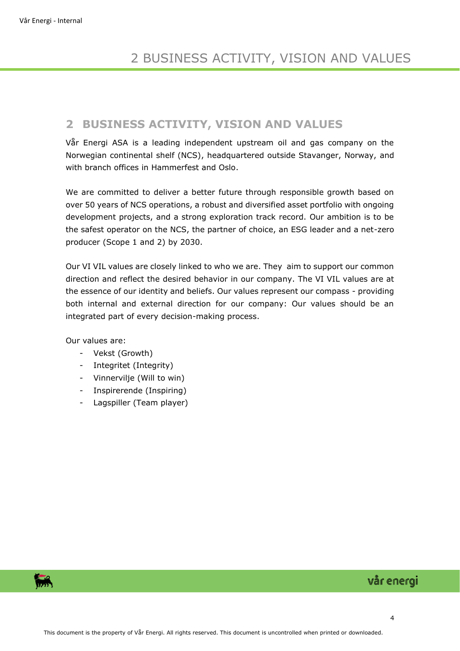## <span id="page-3-0"></span>**2 BUSINESS ACTIVITY, VISION AND VALUES**

Vår Energi ASA is a leading independent upstream oil and gas company on the Norwegian continental shelf (NCS), headquartered outside Stavanger, Norway, and with branch offices in Hammerfest and Oslo.

We are committed to deliver a better future through responsible growth based on over 50 years of NCS operations, a robust and diversified asset portfolio with ongoing development projects, and a strong exploration track record. Our ambition is to be the safest operator on the NCS, the partner of choice, an ESG leader and a net-zero producer (Scope 1 and 2) by 2030.

Our VI VIL values are closely linked to who we are. They aim to support our common direction and reflect the desired behavior in our company. The VI VIL values are at the essence of our identity and beliefs. Our values represent our compass - providing both internal and external direction for our company: Our values should be an integrated part of every decision-making process.

Our values are:

- Vekst (Growth)
- Integritet (Integrity)
- Vinnervilje (Will to win)
- Inspirerende (Inspiring)
- Lagspiller (Team player)

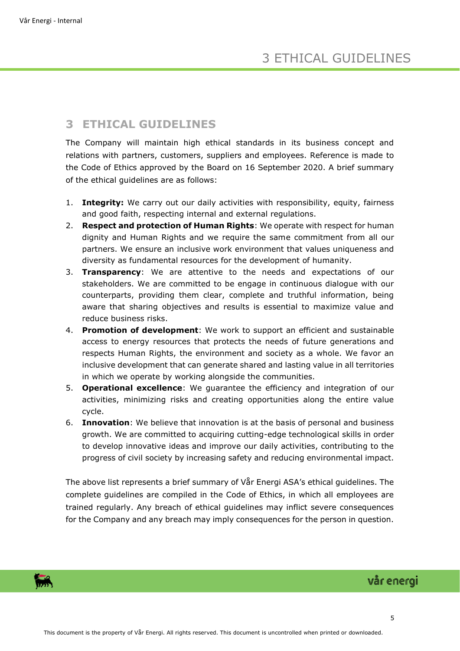## <span id="page-4-0"></span>**3 ETHICAL GUIDELINES**

The Company will maintain high ethical standards in its business concept and relations with partners, customers, suppliers and employees. Reference is made to the Code of Ethics approved by the Board on 16 September 2020. A brief summary of the ethical guidelines are as follows:

- 1. **Integrity:** We carry out our daily activities with responsibility, equity, fairness and good faith, respecting internal and external regulations.
- 2. **Respect and protection of Human Rights**: We operate with respect for human dignity and Human Rights and we require the same commitment from all our partners. We ensure an inclusive work environment that values uniqueness and diversity as fundamental resources for the development of humanity.
- 3. **Transparency**: We are attentive to the needs and expectations of our stakeholders. We are committed to be engage in continuous dialogue with our counterparts, providing them clear, complete and truthful information, being aware that sharing objectives and results is essential to maximize value and reduce business risks.
- 4. **Promotion of development**: We work to support an efficient and sustainable access to energy resources that protects the needs of future generations and respects Human Rights, the environment and society as a whole. We favor an inclusive development that can generate shared and lasting value in all territories in which we operate by working alongside the communities.
- 5. **Operational excellence**: We guarantee the efficiency and integration of our activities, minimizing risks and creating opportunities along the entire value cycle.
- 6. **Innovation**: We believe that innovation is at the basis of personal and business growth. We are committed to acquiring cutting-edge technological skills in order to develop innovative ideas and improve our daily activities, contributing to the progress of civil society by increasing safety and reducing environmental impact.

The above list represents a brief summary of Vår Energi ASA's ethical guidelines. The complete guidelines are compiled in the Code of Ethics, in which all employees are trained regularly. Any breach of ethical guidelines may inflict severe consequences for the Company and any breach may imply consequences for the person in question.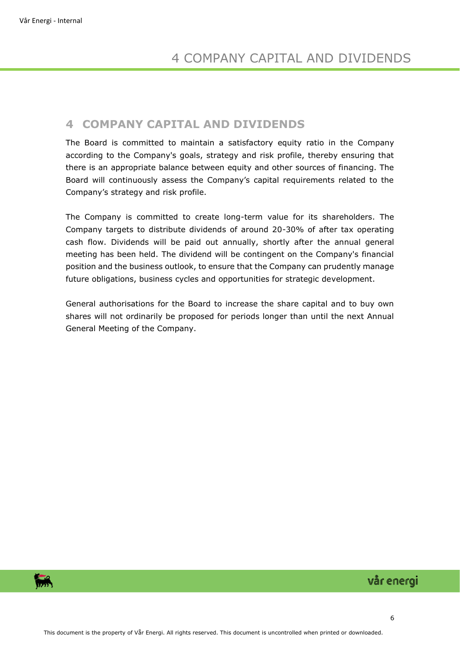## <span id="page-5-0"></span>**4 COMPANY CAPITAL AND DIVIDENDS**

The Board is committed to maintain a satisfactory equity ratio in the Company according to the Company's goals, strategy and risk profile, thereby ensuring that there is an appropriate balance between equity and other sources of financing. The Board will continuously assess the Company's capital requirements related to the Company's strategy and risk profile.

The Company is committed to create long-term value for its shareholders. The Company targets to distribute dividends of around 20-30% of after tax operating cash flow. Dividends will be paid out annually, shortly after the annual general meeting has been held. The dividend will be contingent on the Company's financial position and the business outlook, to ensure that the Company can prudently manage future obligations, business cycles and opportunities for strategic development.

General authorisations for the Board to increase the share capital and to buy own shares will not ordinarily be proposed for periods longer than until the next Annual General Meeting of the Company.

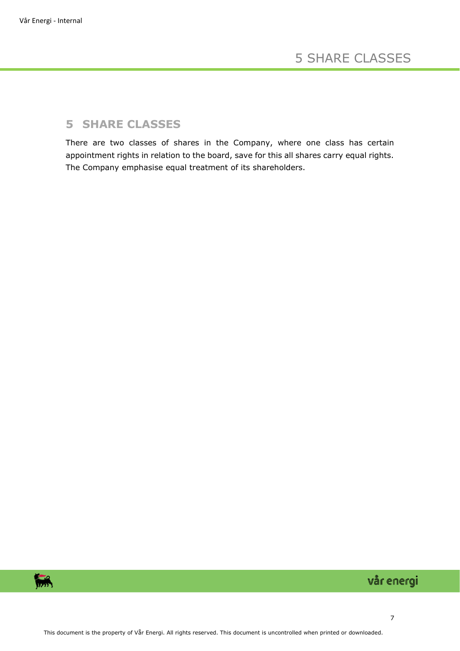## <span id="page-6-0"></span>**5 SHARE CLASSES**

There are two classes of shares in the Company, where one class has certain appointment rights in relation to the board, save for this all shares carry equal rights. The Company emphasise equal treatment of its shareholders.

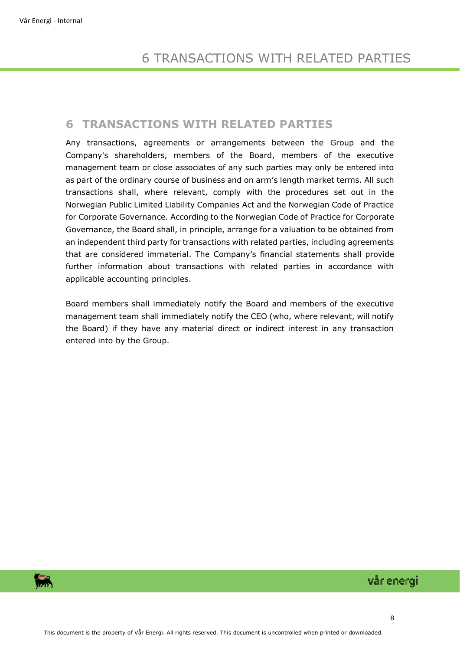## <span id="page-7-0"></span>**6 TRANSACTIONS WITH RELATED PARTIES**

Any transactions, agreements or arrangements between the Group and the Company's shareholders, members of the Board, members of the executive management team or close associates of any such parties may only be entered into as part of the ordinary course of business and on arm's length market terms. All such transactions shall, where relevant, comply with the procedures set out in the Norwegian Public Limited Liability Companies Act and the Norwegian Code of Practice for Corporate Governance. According to the Norwegian Code of Practice for Corporate Governance, the Board shall, in principle, arrange for a valuation to be obtained from an independent third party for transactions with related parties, including agreements that are considered immaterial. The Company's financial statements shall provide further information about transactions with related parties in accordance with applicable accounting principles.

Board members shall immediately notify the Board and members of the executive management team shall immediately notify the CEO (who, where relevant, will notify the Board) if they have any material direct or indirect interest in any transaction entered into by the Group.

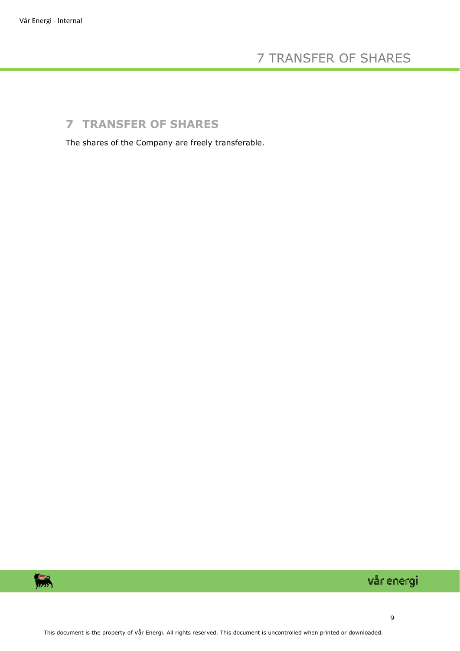# 7 TRANSFER OF SHARES

# <span id="page-8-0"></span>**7 TRANSFER OF SHARES**

The shares of the Company are freely transferable.

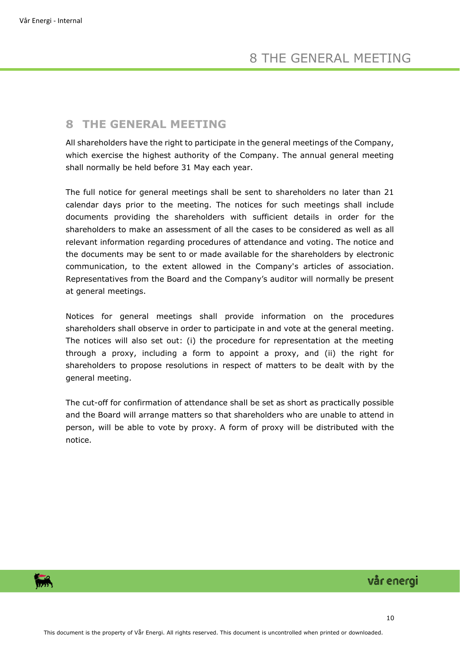## <span id="page-9-0"></span>**8 THE GENERAL MEETING**

All shareholders have the right to participate in the general meetings of the Company, which exercise the highest authority of the Company. The annual general meeting shall normally be held before 31 May each year.

The full notice for general meetings shall be sent to shareholders no later than 21 calendar days prior to the meeting. The notices for such meetings shall include documents providing the shareholders with sufficient details in order for the shareholders to make an assessment of all the cases to be considered as well as all relevant information regarding procedures of attendance and voting. The notice and the documents may be sent to or made available for the shareholders by electronic communication, to the extent allowed in the Company's articles of association. Representatives from the Board and the Company's auditor will normally be present at general meetings.

Notices for general meetings shall provide information on the procedures shareholders shall observe in order to participate in and vote at the general meeting. The notices will also set out: (i) the procedure for representation at the meeting through a proxy, including a form to appoint a proxy, and (ii) the right for shareholders to propose resolutions in respect of matters to be dealt with by the general meeting.

The cut-off for confirmation of attendance shall be set as short as practically possible and the Board will arrange matters so that shareholders who are unable to attend in person, will be able to vote by proxy. A form of proxy will be distributed with the notice.

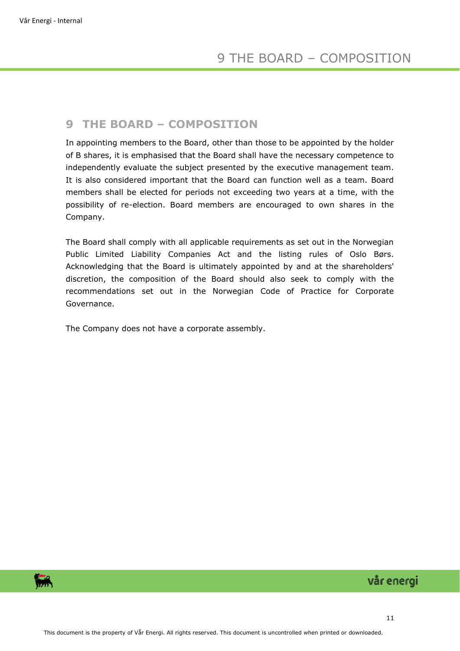#### <span id="page-10-0"></span>**9 THE BOARD – COMPOSITION**

In appointing members to the Board, other than those to be appointed by the holder of B shares, it is emphasised that the Board shall have the necessary competence to independently evaluate the subject presented by the executive management team. It is also considered important that the Board can function well as a team. Board members shall be elected for periods not exceeding two years at a time, with the possibility of re-election. Board members are encouraged to own shares in the Company.

The Board shall comply with all applicable requirements as set out in the Norwegian Public Limited Liability Companies Act and the listing rules of Oslo Børs. Acknowledging that the Board is ultimately appointed by and at the shareholders' discretion, the composition of the Board should also seek to comply with the recommendations set out in the Norwegian Code of Practice for Corporate Governance.

The Company does not have a corporate assembly.

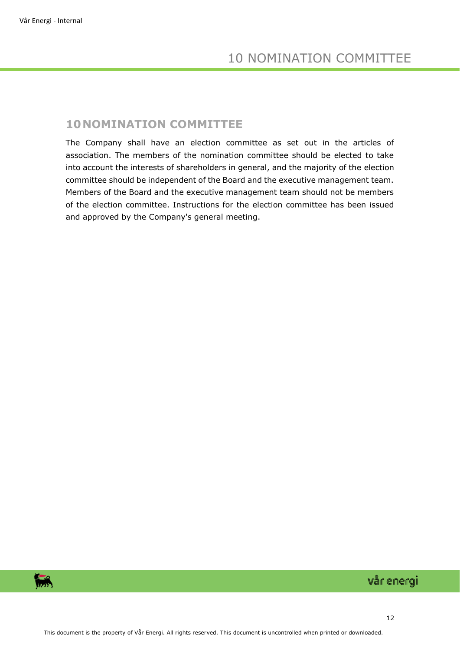## <span id="page-11-0"></span>**10NOMINATION COMMITTEE**

The Company shall have an election committee as set out in the articles of association. The members of the nomination committee should be elected to take into account the interests of shareholders in general, and the majority of the election committee should be independent of the Board and the executive management team. Members of the Board and the executive management team should not be members of the election committee. Instructions for the election committee has been issued and approved by the Company's general meeting.

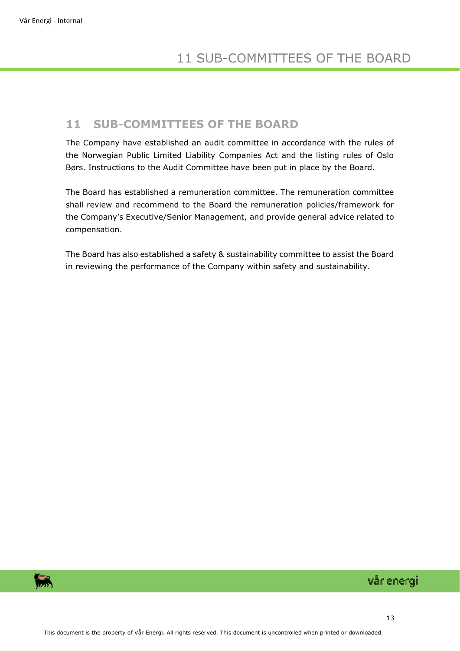## <span id="page-12-0"></span>**11 SUB-COMMITTEES OF THE BOARD**

The Company have established an audit committee in accordance with the rules of the Norwegian Public Limited Liability Companies Act and the listing rules of Oslo Børs. Instructions to the Audit Committee have been put in place by the Board.

The Board has established a remuneration committee. The remuneration committee shall review and recommend to the Board the remuneration policies/framework for the Company's Executive/Senior Management, and provide general advice related to compensation.

The Board has also established a safety & sustainability committee to assist the Board in reviewing the performance of the Company within safety and sustainability.

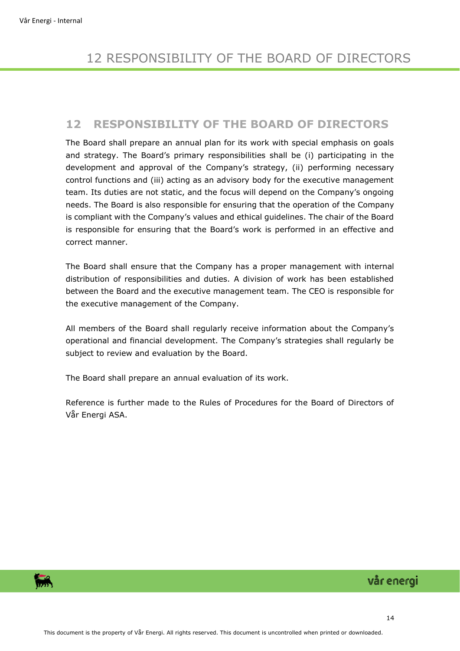## <span id="page-13-0"></span>**12 RESPONSIBILITY OF THE BOARD OF DIRECTORS**

The Board shall prepare an annual plan for its work with special emphasis on goals and strategy. The Board's primary responsibilities shall be (i) participating in the development and approval of the Company's strategy, (ii) performing necessary control functions and (iii) acting as an advisory body for the executive management team. Its duties are not static, and the focus will depend on the Company's ongoing needs. The Board is also responsible for ensuring that the operation of the Company is compliant with the Company's values and ethical guidelines. The chair of the Board is responsible for ensuring that the Board's work is performed in an effective and correct manner.

The Board shall ensure that the Company has a proper management with internal distribution of responsibilities and duties. A division of work has been established between the Board and the executive management team. The CEO is responsible for the executive management of the Company.

All members of the Board shall regularly receive information about the Company's operational and financial development. The Company's strategies shall regularly be subject to review and evaluation by the Board.

The Board shall prepare an annual evaluation of its work.

Reference is further made to the Rules of Procedures for the Board of Directors of Vår Energi ASA.

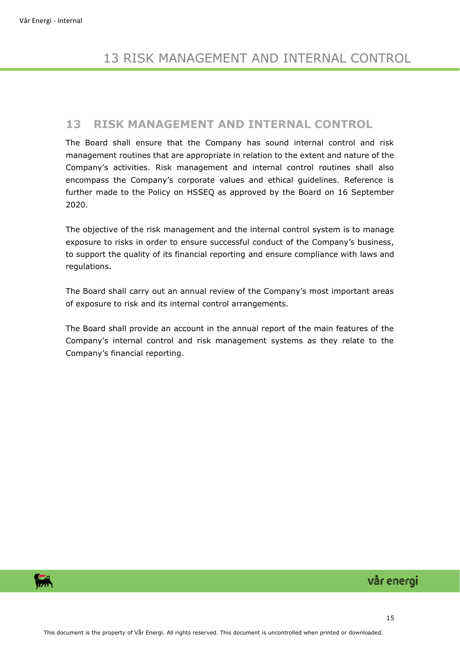#### <span id="page-14-0"></span>**13 RISK MANAGEMENT AND INTERNAL CONTROL**

The Board shall ensure that the Company has sound internal control and risk management routines that are appropriate in relation to the extent and nature of the Company's activities. Risk management and internal control routines shall also encompass the Company's corporate values and ethical guidelines. Reference is further made to the Policy on HSSEQ as approved by the Board on 16 September 2020.

The objective of the risk management and the internal control system is to manage exposure to risks in order to ensure successful conduct of the Company's business, to support the quality of its financial reporting and ensure compliance with laws and regulations.

The Board shall carry out an annual review of the Company's most important areas of exposure to risk and its internal control arrangements.

The Board shall provide an account in the annual report of the main features of the Company's internal control and risk management systems as they relate to the Company's financial reporting.

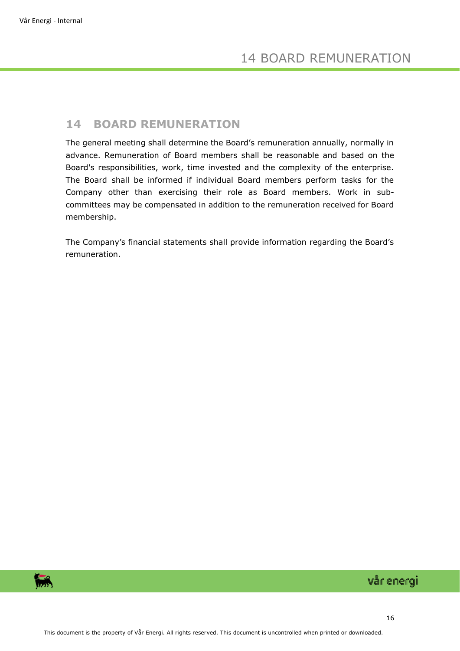#### <span id="page-15-0"></span>**14 BOARD REMUNERATION**

The general meeting shall determine the Board's remuneration annually, normally in advance. Remuneration of Board members shall be reasonable and based on the Board's responsibilities, work, time invested and the complexity of the enterprise. The Board shall be informed if individual Board members perform tasks for the Company other than exercising their role as Board members. Work in subcommittees may be compensated in addition to the remuneration received for Board membership.

The Company's financial statements shall provide information regarding the Board's remuneration.

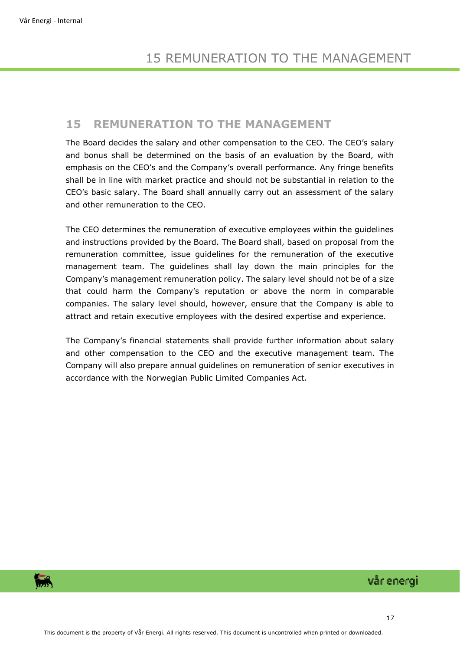#### <span id="page-16-0"></span>**15 REMUNERATION TO THE MANAGEMENT**

The Board decides the salary and other compensation to the CEO. The CEO's salary and bonus shall be determined on the basis of an evaluation by the Board, with emphasis on the CEO's and the Company's overall performance. Any fringe benefits shall be in line with market practice and should not be substantial in relation to the CEO's basic salary. The Board shall annually carry out an assessment of the salary and other remuneration to the CEO.

The CEO determines the remuneration of executive employees within the guidelines and instructions provided by the Board. The Board shall, based on proposal from the remuneration committee, issue guidelines for the remuneration of the executive management team. The guidelines shall lay down the main principles for the Company's management remuneration policy. The salary level should not be of a size that could harm the Company's reputation or above the norm in comparable companies. The salary level should, however, ensure that the Company is able to attract and retain executive employees with the desired expertise and experience.

The Company's financial statements shall provide further information about salary and other compensation to the CEO and the executive management team. The Company will also prepare annual guidelines on remuneration of senior executives in accordance with the Norwegian Public Limited Companies Act.

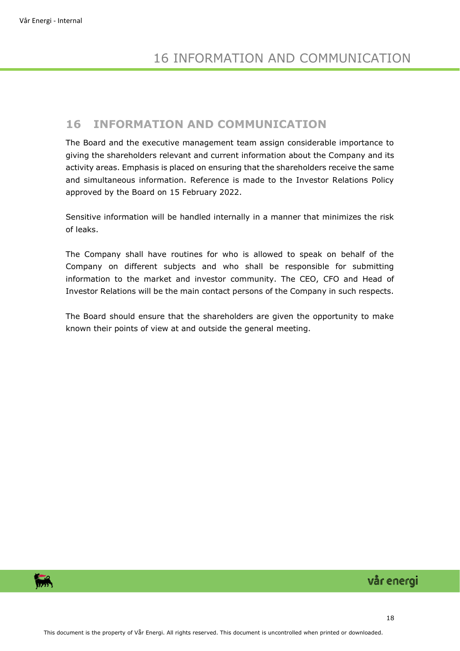## <span id="page-17-0"></span>**16 INFORMATION AND COMMUNICATION**

The Board and the executive management team assign considerable importance to giving the shareholders relevant and current information about the Company and its activity areas. Emphasis is placed on ensuring that the shareholders receive the same and simultaneous information. Reference is made to the Investor Relations Policy approved by the Board on 15 February 2022.

Sensitive information will be handled internally in a manner that minimizes the risk of leaks.

The Company shall have routines for who is allowed to speak on behalf of the Company on different subjects and who shall be responsible for submitting information to the market and investor community. The CEO, CFO and Head of Investor Relations will be the main contact persons of the Company in such respects.

The Board should ensure that the shareholders are given the opportunity to make known their points of view at and outside the general meeting.

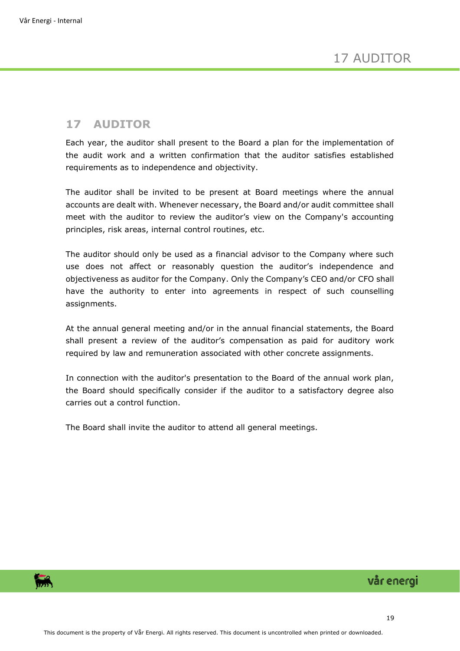## <span id="page-18-0"></span>**17 AUDITOR**

Each year, the auditor shall present to the Board a plan for the implementation of the audit work and a written confirmation that the auditor satisfies established requirements as to independence and objectivity.

The auditor shall be invited to be present at Board meetings where the annual accounts are dealt with. Whenever necessary, the Board and/or audit committee shall meet with the auditor to review the auditor's view on the Company's accounting principles, risk areas, internal control routines, etc.

The auditor should only be used as a financial advisor to the Company where such use does not affect or reasonably question the auditor's independence and objectiveness as auditor for the Company. Only the Company's CEO and/or CFO shall have the authority to enter into agreements in respect of such counselling assignments.

At the annual general meeting and/or in the annual financial statements, the Board shall present a review of the auditor's compensation as paid for auditory work required by law and remuneration associated with other concrete assignments.

In connection with the auditor's presentation to the Board of the annual work plan, the Board should specifically consider if the auditor to a satisfactory degree also carries out a control function.

The Board shall invite the auditor to attend all general meetings.

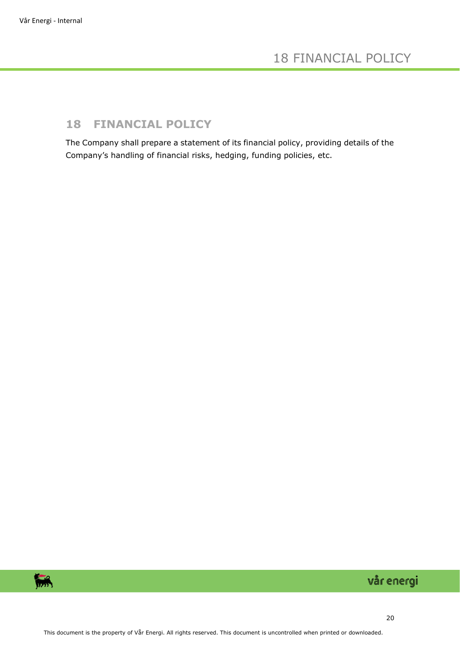## <span id="page-19-0"></span>**18 FINANCIAL POLICY**

The Company shall prepare a statement of its financial policy, providing details of the Company's handling of financial risks, hedging, funding policies, etc.